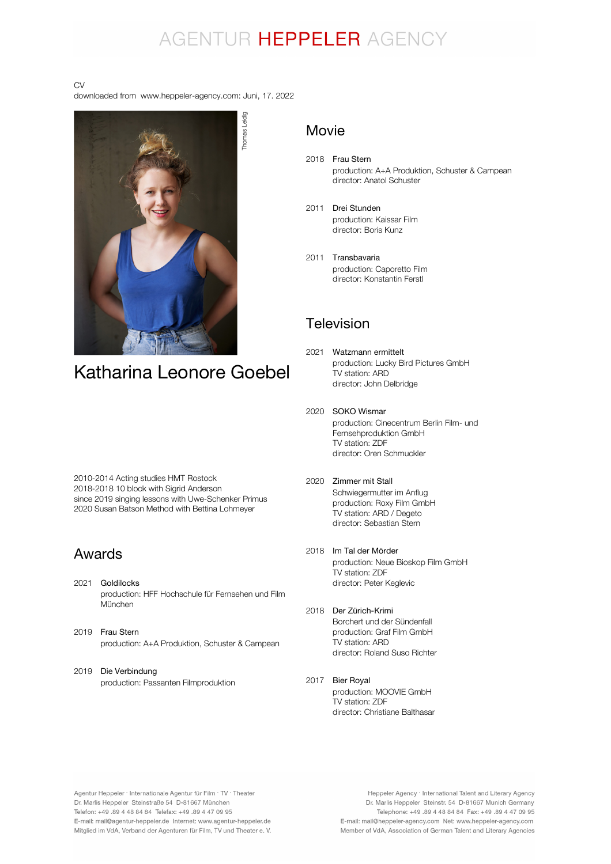# AGENTUR HEPPELER AGENCY

#### CV

downloaded from www.heppeler-agency.com: Juni, 17. 2022



2010-2014 Acting studies HMT Rostock 2018-2018 10 block with Sigrid Anderson since 2019 singing lessons with Uwe-Schenker Primus 2020 Susan Batson Method with Bettina Lohmeyer

#### Awards

- 2021 Goldilocks production: HFF Hochschule für Fernsehen und Film München
- 2019 Frau Stern production: A+A Produktion, Schuster & Campean
- 2019 Die Verbindung production: Passanten Filmproduktion

#### Movie

- 2018 Frau Stern production: A+A Produktion, Schuster & Campean director: Anatol Schuster
- 2011 Drei Stunden production: Kaissar Film director: Boris Kunz
- 2011 Transbavaria production: Caporetto Film director: Konstantin Ferstl

### Television

- 2021 Watzmann ermittelt production: Lucky Bird Pictures GmbH TV station: ARD director: John Delbridge
- 2020 SOKO Wismar production: Cinecentrum Berlin Film- und Fernsehproduktion GmbH TV station: ZDF director: Oren Schmuckler
- 2020 Zimmer mit Stall Schwiegermutter im Anflug production: Roxy Film GmbH TV station: ARD / Degeto director: Sebastian Stern
- 2018 Im Tal der Mörder production: Neue Bioskop Film GmbH TV station: ZDF director: Peter Keglevic
- 2018 Der Zürich-Krimi Borchert und der Sündenfall production: Graf Film GmbH TV station: ARD director: Roland Suso Richter
- 2017 Bier Royalproduction: MOOVIE GmbH TV station: ZDF director: Christiane Balthasar

Agentur Heppeler · Internationale Agentur für Film · TV · Theater Dr. Marlis Heppeler Steinstraße 54 D-81667 München Telefon: +49.89 4 48 84 84 Telefax: +49.89 4 47 09 95 E-mail: mail@agentur-heppeler.de Internet: www.agentur-heppeler.de Mitglied im VdA, Verband der Agenturen für Film, TV und Theater e. V.